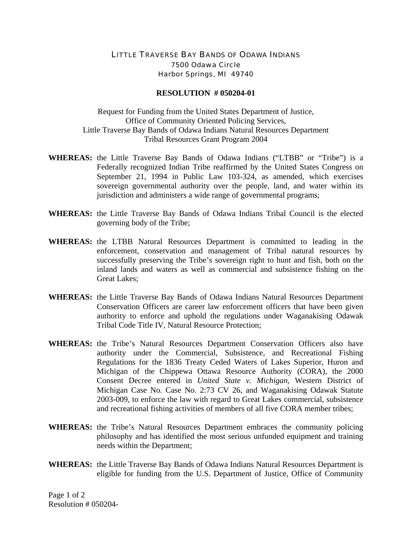## LITTLE TRAVERSE BAY BANDS OF ODAWA INDIANS 7500 Odawa Circle Harbor Springs, MI 49740

## **RESOLUTION # 050204-01**

Request for Funding from the United States Department of Justice, Office of Community Oriented Policing Services, Little Traverse Bay Bands of Odawa Indians Natural Resources Department Tribal Resources Grant Program 2004

- **WHEREAS:** the Little Traverse Bay Bands of Odawa Indians ("LTBB" or "Tribe") is a Federally recognized Indian Tribe reaffirmed by the United States Congress on September 21, 1994 in Public Law 103-324, as amended, which exercises sovereign governmental authority over the people, land, and water within its jurisdiction and administers a wide range of governmental programs;
- **WHEREAS:** the Little Traverse Bay Bands of Odawa Indians Tribal Council is the elected governing body of the Tribe;
- **WHEREAS:** the LTBB Natural Resources Department is committed to leading in the enforcement, conservation and management of Tribal natural resources by successfully preserving the Tribe's sovereign right to hunt and fish, both on the inland lands and waters as well as commercial and subsistence fishing on the Great Lakes;
- **WHEREAS:** the Little Traverse Bay Bands of Odawa Indians Natural Resources Department Conservation Officers are career law enforcement officers that have been given authority to enforce and uphold the regulations under Waganakising Odawak Tribal Code Title IV, Natural Resource Protection;
- **WHEREAS:** the Tribe's Natural Resources Department Conservation Officers also have authority under the Commercial, Subsistence, and Recreational Fishing Regulations for the 1836 Treaty Ceded Waters of Lakes Superior, Huron and Michigan of the Chippewa Ottawa Resource Authority (CORA), the 2000 Consent Decree entered in *United State v. Michigan,* Western District of Michigan Case No. Case No. 2:73 CV 26, and Waganakising Odawak Statute 2003-009, to enforce the law with regard to Great Lakes commercial, subsistence and recreational fishing activities of members of all five CORA member tribes;
- **WHEREAS:** the Tribe's Natural Resources Department embraces the community policing philosophy and has identified the most serious unfunded equipment and training needs within the Department;
- **WHEREAS:** the Little Traverse Bay Bands of Odawa Indians Natural Resources Department is eligible for funding from the U.S. Department of Justice, Office of Community

Page 1 of 2 Resolution # 050204-